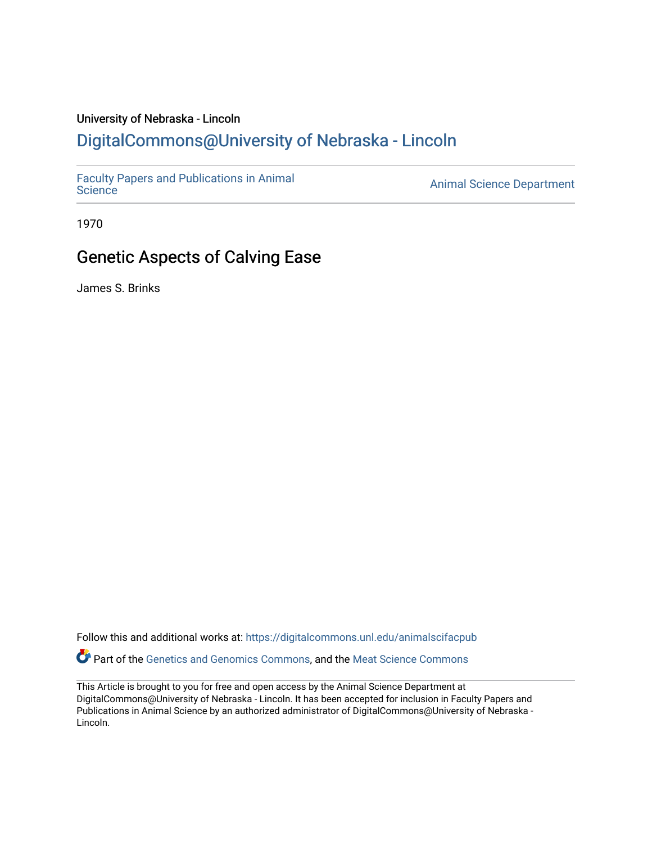## University of Nebraska - Lincoln

# [DigitalCommons@University of Nebraska - Lincoln](https://digitalcommons.unl.edu/)

[Faculty Papers and Publications in Animal](https://digitalcommons.unl.edu/animalscifacpub) 

**Animal [Science](https://digitalcommons.unl.edu/animalscifacpub) Department** 

1970

# Genetic Aspects of Calving Ease

James S. Brinks

Follow this and additional works at: [https://digitalcommons.unl.edu/animalscifacpub](https://digitalcommons.unl.edu/animalscifacpub?utm_source=digitalcommons.unl.edu%2Fanimalscifacpub%2F1178&utm_medium=PDF&utm_campaign=PDFCoverPages) Part of the [Genetics and Genomics Commons](https://network.bepress.com/hgg/discipline/27?utm_source=digitalcommons.unl.edu%2Fanimalscifacpub%2F1178&utm_medium=PDF&utm_campaign=PDFCoverPages), and the [Meat Science Commons](https://network.bepress.com/hgg/discipline/1301?utm_source=digitalcommons.unl.edu%2Fanimalscifacpub%2F1178&utm_medium=PDF&utm_campaign=PDFCoverPages) 

This Article is brought to you for free and open access by the Animal Science Department at DigitalCommons@University of Nebraska - Lincoln. It has been accepted for inclusion in Faculty Papers and Publications in Animal Science by an authorized administrator of DigitalCommons@University of Nebraska -Lincoln.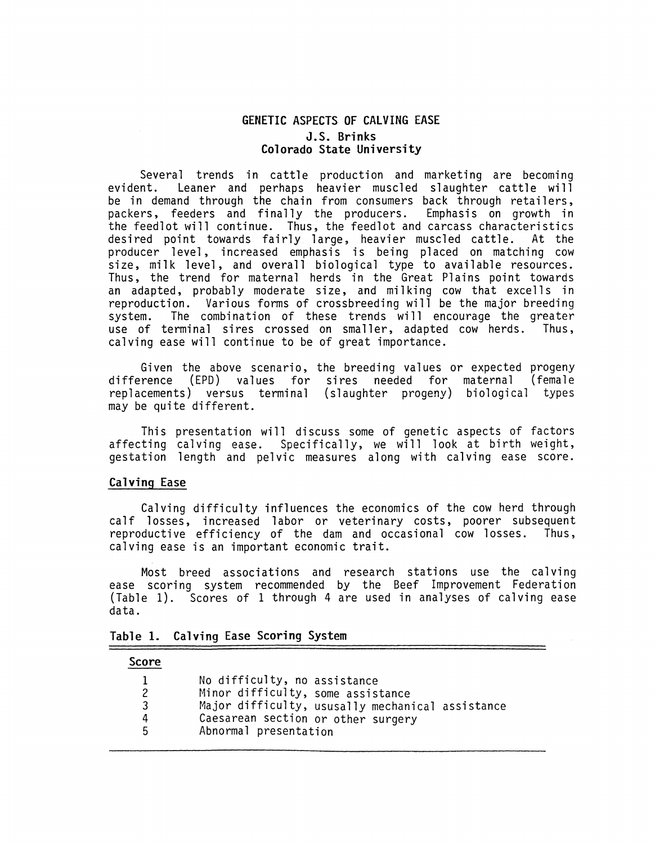## **GENETIC ASPECTS OF CALVING EASE J.S. Brinks Colorado State University**

Several trends in cattle production and marketing are becoming<br>evident. Leaner and perhaps heavier muscled slaughter cattle will Leaner and perhaps heavier muscled slaughter cattle will be in demand through the chain from consumers back through retailers, packers, feeders and finally the producers. Emphasis on growth in the feedlot will continue. Thus, the feedlot and carcass characteristics<br>desired point towards fairly large, heavier muscled cattle. At the desired point towards fairly large, heavier muscled cattle. producer level, increased emphasis is being placed on matching cow size, milk level, and overall biological type to available resources. Thus, the trend for maternal herds in the Great Plains point towards an adapted, probably moderate size, and milking cow that excells in reproduction. Various forms of crossbreeding will be the major breeding<br>system. The combination of these trends will encourage the greater The combination of these trends will encourage the greater<br>erminal sires crossed on smaller, adapted cow herds. Thus, use of terminal sires crossed on smaller, adapted cow herds. calving ease will continue to be of great importance.

Given the above scenario, the breeding values or expected progeny difference (EPD) values for sires needed for maternal (female replacements) versus terminal (slaughter progeny) biological types may be quite different.

This presentation will discuss some of genetic aspects of factors affecting calving ease. Specifically, we will look at birth weight, gestation length and pelvic measures along with calving ease score.

## **Calving Ease**

Calving difficulty influences the economics of the cow herd through calf losses, increased labor or veterinary costs, poorer subsequent reproductive efficiency of the dam and occasional cow losses. Thus. reproductive efficiency of the dam and occasional cow losses. calving ease is an important economic trait.

Most breed associations and research stations use the calving ease scoring system recommended by the Beef Improvement Federation (Table 1). Scores of 1 through 4 are used in analyses of calving ease data.

| Table 1. Calving Ease Scoring System |  |
|--------------------------------------|--|
|--------------------------------------|--|

#### **Score**

| .                     |                                                                                                                                                                                      |
|-----------------------|--------------------------------------------------------------------------------------------------------------------------------------------------------------------------------------|
| 1<br>2<br>3<br>4<br>5 | No difficulty, no assistance<br>Minor difficulty, some assistance<br>Major difficulty, ususally mechanical assistance<br>Caesarean section or other surgery<br>Abnormal presentation |
|                       |                                                                                                                                                                                      |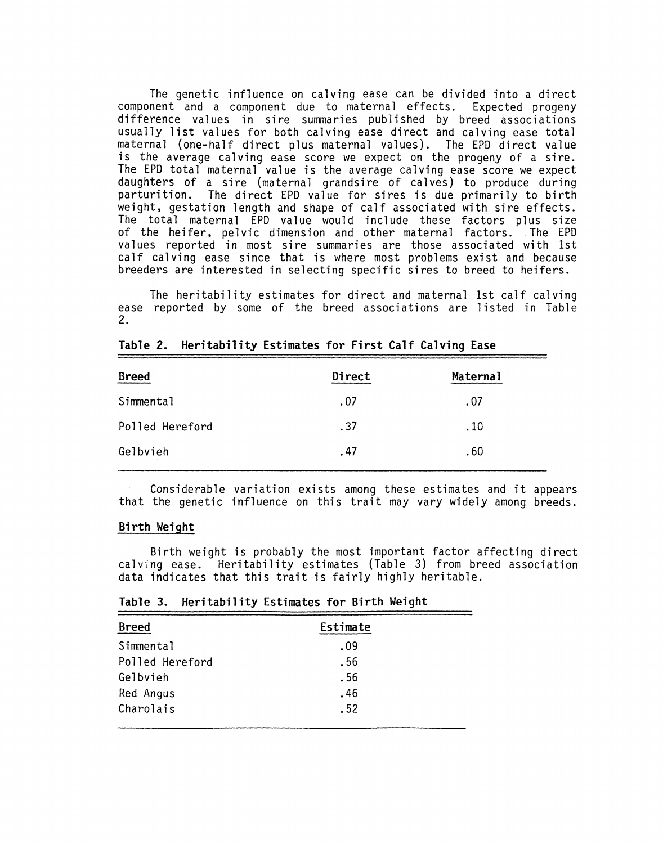The genetic influence on calving ease can be divided into a direct component and a component due to maternal effects. Expected progeny difference values in sire summaries published by breed associations usually list values for both calving ease direct and calving ease total maternal {one-half direct plus maternal values). The EPO direct value is the average calving ease score we expect on the progeny of a sire. The EPO total maternal value is the average calving ease score we expect daughters of a sire {maternal grandsire of calves) to produce during parturition. The direct EPO value for sires is due primarily to birth weight, gestation length and shape of calf associated with sire effects. The total maternal EPD value would include these factors plus size of the heifer, pelvic dimension and other maternal factors. \_ The EPO values reported in most sire summaries are those associated with 1st calf calving ease since that is where most problems exist and because breeders are interested in selecting specific **sires** to breed to heifers.

The heritability estimates for direct and maternal 1st calf calving ease reported by some of the breed associations are listed in Table 2.

| <b>Breed</b>    | Direct | Maternal |
|-----------------|--------|----------|
| Simmental       | .07    | .07      |
| Polled Hereford | .37    | .10      |
| Gelbvieh        | .47    | .60      |

| Table 2. Heritability Estimates for First Calf Calving Ease |  |  |  |  |  |  |  |
|-------------------------------------------------------------|--|--|--|--|--|--|--|
|-------------------------------------------------------------|--|--|--|--|--|--|--|

Considerable variation exists among these estimates and it appears that the genetic influence on this trait may vary widely among breeds.

### **Birth Weight**

Birth weight is probably the most important factor affecting direct calving ease. Heritability estimates (Table 3) from breed association data indicates that this trait is fairly highly heritable.

| <b>Breed</b>    | Estimate |  |
|-----------------|----------|--|
| Simmental       | .09      |  |
| Polled Hereford | .56      |  |
| Gelbvieh        | .56      |  |
| Red Angus       | .46      |  |
| Charolais       | .52      |  |

**Table 3. Heritability Estimates for Birth Weight**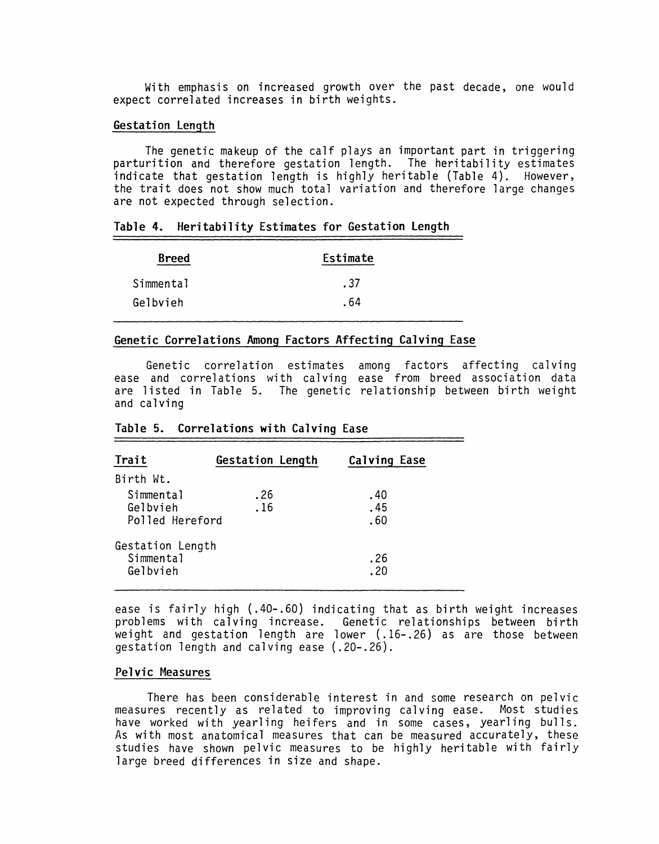With emphasis on increased growth over the past decade, one would expect correlated increases in birth weights.

### **Gestation Length**

The genetic makeup of the calf plays an important part in triggering parturition and therefore gestation length. The heritability estimates indicate that gestation length is highly heritable (Table 4). However, the trait does not show much total variation and therefore large changes are not expected through selection.

|  | Table 4. Heritability Estimates for Gestation Length |  |  |  |  |
|--|------------------------------------------------------|--|--|--|--|
|--|------------------------------------------------------|--|--|--|--|

| <b>Breed</b> | Estimate |
|--------------|----------|
| Simmental    | . 37     |
| Gelbvieh     | . 64     |

## **Genetic Correlations Among Factors Affecting Calving Ease**

Genetic correlation estimates ease and correlations with calving are listed in Table 5. The genetic relationship between birth weight and calving among factors affecting calving ease from breed association data

| Trait                                     | <b>Gestation Length</b> | <b>Calving Ease</b> |  |
|-------------------------------------------|-------------------------|---------------------|--|
| Birth Wt.                                 |                         |                     |  |
| Simmental<br>Gelbvieh<br>Polled Hereford  | .26<br>.16              | .40<br>.45<br>.60   |  |
| Gestation Length<br>Simmental<br>Gelbvieh |                         | .26<br>.20          |  |

#### **Table 5. Correlations with Calving Ease**

ease is fairly high (.40-.60) indicating that as birth weight increases problems with calving increase. Genetic relationships between birth weight and gestation length are lower (.16-.26) as are those between gestation length and calving ease (.20-.26).

### **Pelvic Measures**

There has been considerable interest in and some research on pelvic measures recently as related to improving calving ease. Most studies have worked with yearling heifers and in some cases, yearling bulls. As with most anatomical measures that can be measured accurately, these studies have shown pelvic measures to be highly heritable with fairly large breed differences in size and shape.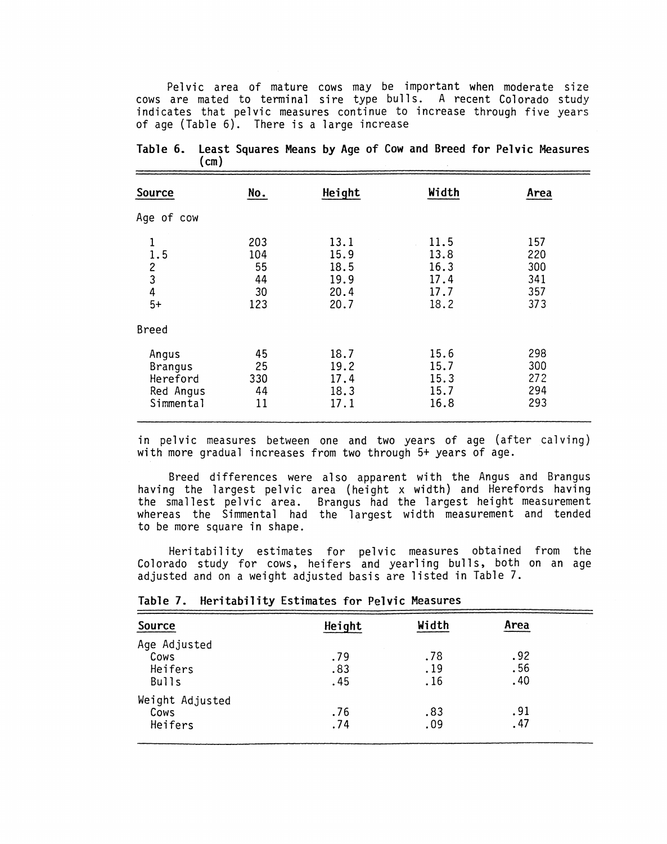Pelvic area of mature cows may be important when moderate size cows are mated to terminal sire type bulls. A recent Colorado study indicates that pelvic measures continue to increase through five years of age (Table 6). There is a large increase

| Source                                                         | No.                                 | Height                                       | Width                                        | Area                                   |
|----------------------------------------------------------------|-------------------------------------|----------------------------------------------|----------------------------------------------|----------------------------------------|
| Age of cow                                                     |                                     |                                              |                                              |                                        |
| 1<br>1.5<br>$\begin{array}{c} 2 \\ 3 \\ 4 \end{array}$<br>$5+$ | 203<br>104<br>55<br>44<br>30<br>123 | 13.1<br>15.9<br>18.5<br>19.9<br>20.4<br>20.7 | 11.5<br>13.8<br>16.3<br>17.4<br>17.7<br>18.2 | 157<br>220<br>300<br>341<br>357<br>373 |
| <b>Breed</b>                                                   |                                     |                                              |                                              |                                        |
| Angus<br><b>Brangus</b><br>Hereford<br>Red Angus<br>Simmental  | 45<br>25<br>330<br>44<br>11         | 18.7<br>19.2<br>17.4<br>18.3<br>17.1         | 15.6<br>15.7<br>15.3<br>15.7<br>16.8         | 298<br>300<br>272<br>294<br>293        |

| Table 6. Least Squares Means by Age of Cow and Breed for Pelvic Measures |      |  |  |  |  |  |  |
|--------------------------------------------------------------------------|------|--|--|--|--|--|--|
|                                                                          | (cm) |  |  |  |  |  |  |
|                                                                          |      |  |  |  |  |  |  |

in pelvic measures between one and two years of age (after calving) with more gradual increases from two through 5+ years of age.

Breed differences were also apparent with the Angus and Brangus having the largest pelvic area (height x width) and Herefords having the smallest pelvic area. Brangus had the largest height measurement whereas the Simmental had the largest width measurement and tended to be more square in shape.

Heritability estimates for pelvic measures obtained from the Colorado study for cows, heifers and yearling bulls, both on an age adjusted and on a weight adjusted basis are listed in Table 7.

| Source          | Height | Width | Area |  |
|-----------------|--------|-------|------|--|
| Age Adjusted    |        |       |      |  |
| Cows            | .79    | .78   | .92  |  |
| Heifers         | .83    | .19   | .56  |  |
| <b>Bulls</b>    | .45    | .16   | .40  |  |
| Weight Adjusted |        |       |      |  |
| Cows            | .76    | .83   | .91  |  |
| Heifers         | .74    | .09   | . 47 |  |

#### **Table 7. Heritability Estimates for Pelvic Measures**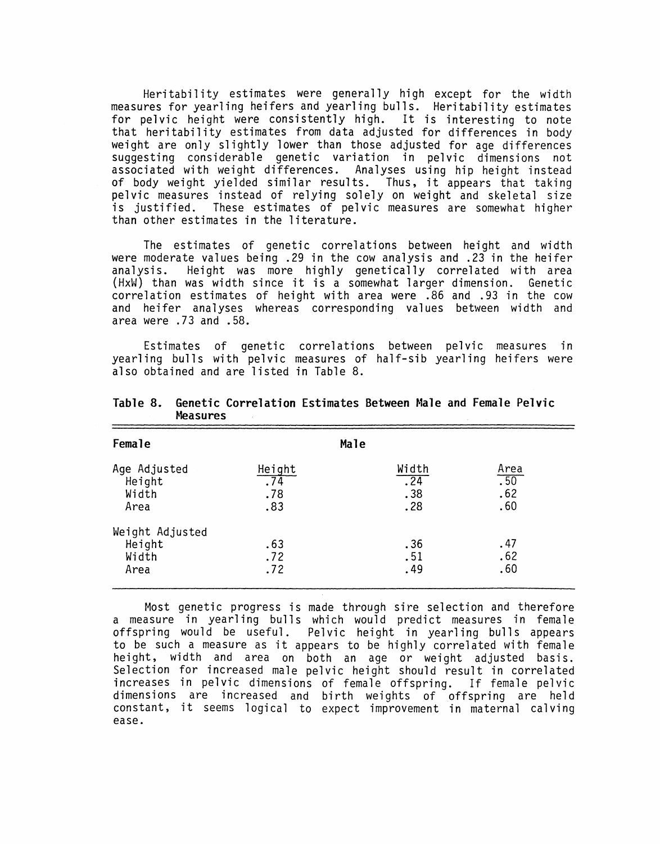Heritability estimates were generally high except for the width measures for yearling heifers and yearling bulls. Heritability estimates for pelvic height were consistently high. It is interesting to note that heritability estimates from data adjusted for differences in body weight are only slightly lower than those adjusted for age differences suggesting considerable genetic variation in pelvic dimensions not associated with weight differences. Analyses using hip height instead of body weight yielded similar results. Thus, it appears that taking pelvic measures instead of relying solely on weight and skeletal size is justified. These estimates of pelvic measures are somewhat higher than other estimates in the literature.

The estimates of genetic correlations between height and width were moderate values being .29 in the cow analysis and .23 in the heifer analysis. Height was more highly genetically correlated with area (HxW) than was width since it is a somewhat larger dimension. Genetic correlation estimates of height with area were .86 and .93 in the cow and heifer analyses whereas corresponding values between width and area were .73 and .58.

Estimates of genetic correlations between pelvic measures in yearling bulls with pelvic measures of half-sib yearling heifers were also obtained and are listed in Table 8.

| Female                                     |                             | Male |                            |                                                |
|--------------------------------------------|-----------------------------|------|----------------------------|------------------------------------------------|
| Age Adjusted<br>Height<br>Width<br>Area    | Height<br>.74<br>.78<br>.83 |      | Width<br>.24<br>.38<br>.28 | $\frac{\text{Area}}{\text{.50}}$<br>.62<br>.60 |
| Weight Adjusted<br>Height<br>Width<br>Area | .63<br>.72<br>.72           |      | .36<br>.51<br>.49          | .47<br>.62<br>.60                              |

**Table 8. Genetic Correlation Estimates Between Male and Female Pelvic Measures** 

Most genetic progress is made through sire selection and therefore a measure in yearling bulls which would predict measures in female offspring would be useful. Pelvic height in yearling bulls appears to be such a measure as it appears to be highly correlated with female height, width and area on both an age or weight adjusted basis. Selection for increased male pelvic height should result in correlated increases in pelvic dimensions of female offspring. If female pelvic dimensions are increased and birth weights of offspring are held constant, it seems logical to expect improvement in maternal calving ease.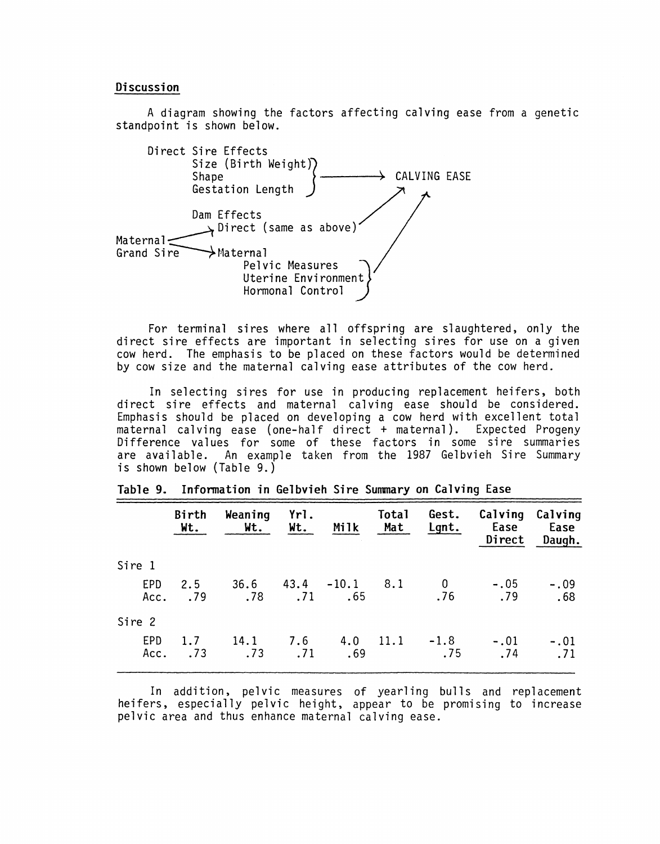#### **Discussion**

A diagram showing the factors affecting calving ease from a genetic standpoint is shown below.



For terminal sires where all offspring are slaughtered, only the direct sire effects are important in selecting sires for use on a given cow herd. The emphasis to be placed on these factors would be determined by cow size and the maternal calving ease attributes of the cow herd.

In selecting sires for use in producing replacement heifers, both direct sire effects and maternal calving ease should be considered. Emphasis should be placed on developing a cow herd with excellent total maternal calving ease (one-half direct + maternal). Expected Progeny Difference values for some of these factors in some sire summaries are available. An example taken from the 1987 Gelbvieh Sire Summary is shown below (Table 9.)

| Birth<br>Wt.            | Weaning<br>Wt. | Yrl. | Milk |                 |                               | Ease<br>Direct                                                 | Calving Calving<br>Ease<br>Daugh. |
|-------------------------|----------------|------|------|-----------------|-------------------------------|----------------------------------------------------------------|-----------------------------------|
|                         |                |      |      |                 |                               |                                                                |                                   |
| 2.5<br>.79              |                |      |      |                 |                               | $-.05$<br>.79                                                  | $-.09$<br>.68                     |
|                         |                |      |      |                 |                               |                                                                |                                   |
| 1.7 <sub>2</sub><br>.73 | .73            | .71  | .69  |                 | .75                           | $-.01$<br>.74                                                  | $-.01$<br>.71                     |
|                         | Acc.<br>Acc.   |      |      | Wt.<br>14.1 7.6 | $.78$ $.71$ $.65$<br>4.0 11.1 | Total<br>Mat<br>$36.6$ $43.4$ $-10.1$ $8.1$ 0<br>.76<br>$-1.8$ | Gest.<br>Lgnt.                    |

|  | Table 9. Information in Gelbvieh Sire Summary on Calving Ease |  |  |  |  |  |  |  |
|--|---------------------------------------------------------------|--|--|--|--|--|--|--|
|--|---------------------------------------------------------------|--|--|--|--|--|--|--|

In addition, pelvic measures of yearling bulls and replacement heifers, especially pelvic height, appear to be promising to increase pelvic area and thus enhance maternal calving ease.